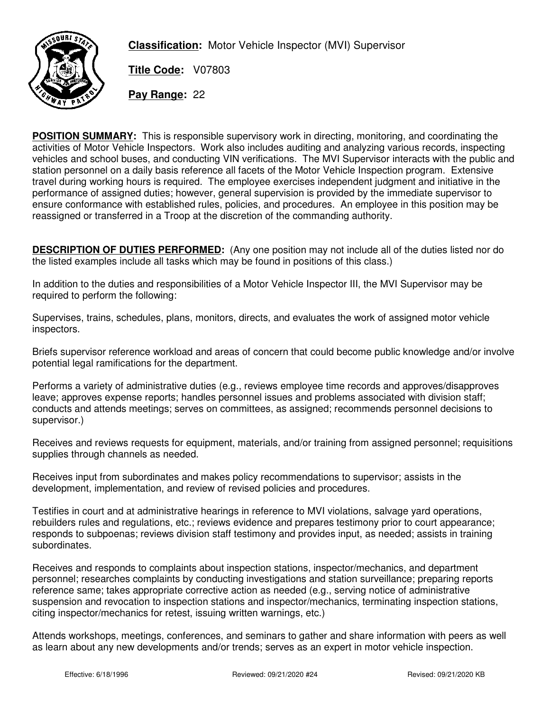

**Classification:** Motor Vehicle Inspector (MVI) Supervisor

**Title Code:** V07803

**Pay Range:** 22

**POSITION SUMMARY:** This is responsible supervisory work in directing, monitoring, and coordinating the activities of Motor Vehicle Inspectors. Work also includes auditing and analyzing various records, inspecting vehicles and school buses, and conducting VIN verifications. The MVI Supervisor interacts with the public and station personnel on a daily basis reference all facets of the Motor Vehicle Inspection program. Extensive travel during working hours is required. The employee exercises independent judgment and initiative in the performance of assigned duties; however, general supervision is provided by the immediate supervisor to ensure conformance with established rules, policies, and procedures. An employee in this position may be reassigned or transferred in a Troop at the discretion of the commanding authority.

**DESCRIPTION OF DUTIES PERFORMED:** (Any one position may not include all of the duties listed nor do the listed examples include all tasks which may be found in positions of this class.)

In addition to the duties and responsibilities of a Motor Vehicle Inspector III, the MVI Supervisor may be required to perform the following:

Supervises, trains, schedules, plans, monitors, directs, and evaluates the work of assigned motor vehicle inspectors.

Briefs supervisor reference workload and areas of concern that could become public knowledge and/or involve potential legal ramifications for the department.

Performs a variety of administrative duties (e.g., reviews employee time records and approves/disapproves leave; approves expense reports; handles personnel issues and problems associated with division staff; conducts and attends meetings; serves on committees, as assigned; recommends personnel decisions to supervisor.)

Receives and reviews requests for equipment, materials, and/or training from assigned personnel; requisitions supplies through channels as needed.

Receives input from subordinates and makes policy recommendations to supervisor; assists in the development, implementation, and review of revised policies and procedures.

Testifies in court and at administrative hearings in reference to MVI violations, salvage yard operations, rebuilders rules and regulations, etc.; reviews evidence and prepares testimony prior to court appearance; responds to subpoenas; reviews division staff testimony and provides input, as needed; assists in training subordinates.

Receives and responds to complaints about inspection stations, inspector/mechanics, and department personnel; researches complaints by conducting investigations and station surveillance; preparing reports reference same; takes appropriate corrective action as needed (e.g., serving notice of administrative suspension and revocation to inspection stations and inspector/mechanics, terminating inspection stations, citing inspector/mechanics for retest, issuing written warnings, etc.)

Attends workshops, meetings, conferences, and seminars to gather and share information with peers as well as learn about any new developments and/or trends; serves as an expert in motor vehicle inspection.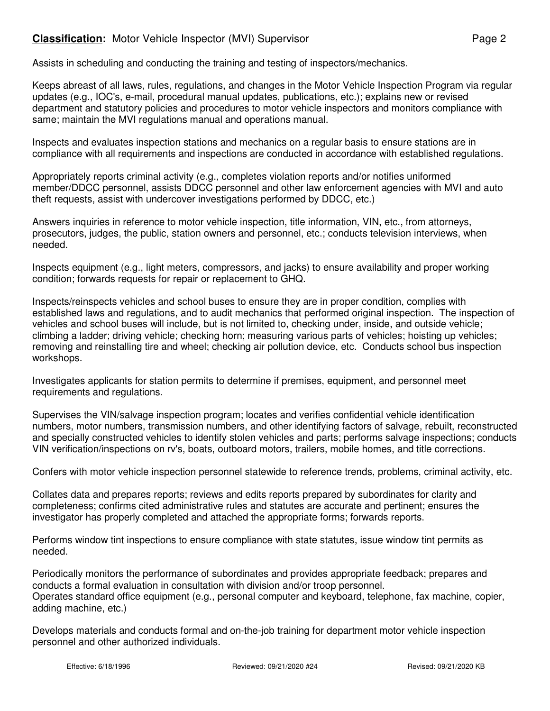## **Classification:** Motor Vehicle Inspector (MVI) Supervisor **Page 2** Page 2

Assists in scheduling and conducting the training and testing of inspectors/mechanics.

Keeps abreast of all laws, rules, regulations, and changes in the Motor Vehicle Inspection Program via regular updates (e.g., IOC's, e-mail, procedural manual updates, publications, etc.); explains new or revised department and statutory policies and procedures to motor vehicle inspectors and monitors compliance with same; maintain the MVI regulations manual and operations manual.

Inspects and evaluates inspection stations and mechanics on a regular basis to ensure stations are in compliance with all requirements and inspections are conducted in accordance with established regulations.

Appropriately reports criminal activity (e.g., completes violation reports and/or notifies uniformed member/DDCC personnel, assists DDCC personnel and other law enforcement agencies with MVI and auto theft requests, assist with undercover investigations performed by DDCC, etc.)

Answers inquiries in reference to motor vehicle inspection, title information, VIN, etc., from attorneys, prosecutors, judges, the public, station owners and personnel, etc.; conducts television interviews, when needed.

Inspects equipment (e.g., light meters, compressors, and jacks) to ensure availability and proper working condition; forwards requests for repair or replacement to GHQ.

Inspects/reinspects vehicles and school buses to ensure they are in proper condition, complies with established laws and regulations, and to audit mechanics that performed original inspection. The inspection of vehicles and school buses will include, but is not limited to, checking under, inside, and outside vehicle; climbing a ladder; driving vehicle; checking horn; measuring various parts of vehicles; hoisting up vehicles; removing and reinstalling tire and wheel; checking air pollution device, etc. Conducts school bus inspection workshops.

Investigates applicants for station permits to determine if premises, equipment, and personnel meet requirements and regulations.

Supervises the VIN/salvage inspection program; locates and verifies confidential vehicle identification numbers, motor numbers, transmission numbers, and other identifying factors of salvage, rebuilt, reconstructed and specially constructed vehicles to identify stolen vehicles and parts; performs salvage inspections; conducts VIN verification/inspections on rv's, boats, outboard motors, trailers, mobile homes, and title corrections.

Confers with motor vehicle inspection personnel statewide to reference trends, problems, criminal activity, etc.

Collates data and prepares reports; reviews and edits reports prepared by subordinates for clarity and completeness; confirms cited administrative rules and statutes are accurate and pertinent; ensures the investigator has properly completed and attached the appropriate forms; forwards reports.

Performs window tint inspections to ensure compliance with state statutes, issue window tint permits as needed.

Periodically monitors the performance of subordinates and provides appropriate feedback; prepares and conducts a formal evaluation in consultation with division and/or troop personnel. Operates standard office equipment (e.g., personal computer and keyboard, telephone, fax machine, copier, adding machine, etc.)

Develops materials and conducts formal and on-the-job training for department motor vehicle inspection personnel and other authorized individuals.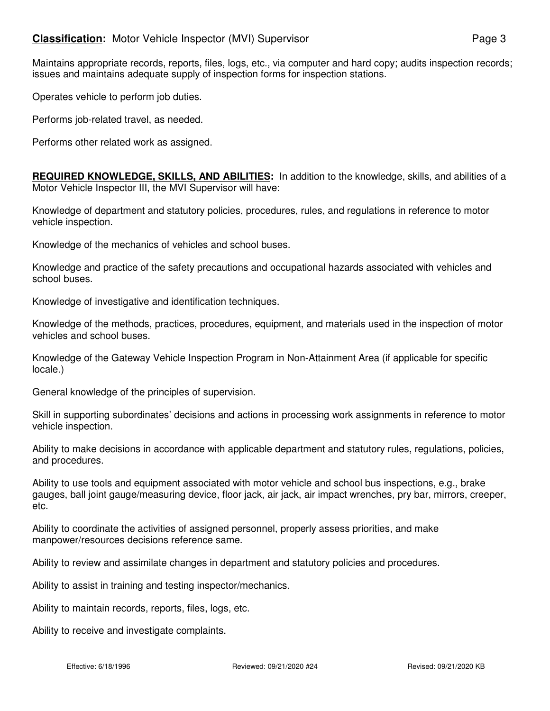## **Classification:** Motor Vehicle Inspector (MVI) Supervisor **Page 3** Page 3

Maintains appropriate records, reports, files, logs, etc., via computer and hard copy; audits inspection records; issues and maintains adequate supply of inspection forms for inspection stations.

Operates vehicle to perform job duties.

Performs job-related travel, as needed.

Performs other related work as assigned.

**REQUIRED KNOWLEDGE, SKILLS, AND ABILITIES:** In addition to the knowledge, skills, and abilities of a Motor Vehicle Inspector III, the MVI Supervisor will have:

Knowledge of department and statutory policies, procedures, rules, and regulations in reference to motor vehicle inspection.

Knowledge of the mechanics of vehicles and school buses.

Knowledge and practice of the safety precautions and occupational hazards associated with vehicles and school buses.

Knowledge of investigative and identification techniques.

Knowledge of the methods, practices, procedures, equipment, and materials used in the inspection of motor vehicles and school buses.

Knowledge of the Gateway Vehicle Inspection Program in Non-Attainment Area (if applicable for specific locale.)

General knowledge of the principles of supervision.

Skill in supporting subordinates' decisions and actions in processing work assignments in reference to motor vehicle inspection.

Ability to make decisions in accordance with applicable department and statutory rules, regulations, policies, and procedures.

Ability to use tools and equipment associated with motor vehicle and school bus inspections, e.g., brake gauges, ball joint gauge/measuring device, floor jack, air jack, air impact wrenches, pry bar, mirrors, creeper, etc.

Ability to coordinate the activities of assigned personnel, properly assess priorities, and make manpower/resources decisions reference same.

Ability to review and assimilate changes in department and statutory policies and procedures.

Ability to assist in training and testing inspector/mechanics.

Ability to maintain records, reports, files, logs, etc.

Ability to receive and investigate complaints.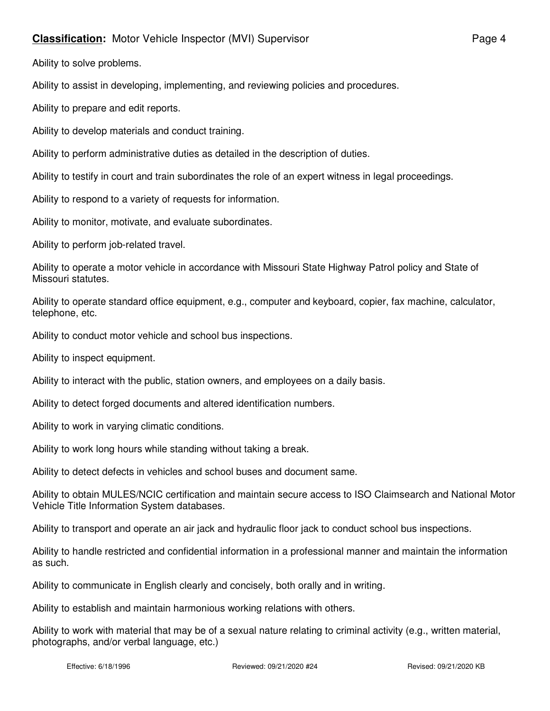## **Classification:** Motor Vehicle Inspector (MVI) Supervisor **Page 4** Page 4

Ability to solve problems.

Ability to assist in developing, implementing, and reviewing policies and procedures.

Ability to prepare and edit reports.

Ability to develop materials and conduct training.

Ability to perform administrative duties as detailed in the description of duties.

Ability to testify in court and train subordinates the role of an expert witness in legal proceedings.

Ability to respond to a variety of requests for information.

Ability to monitor, motivate, and evaluate subordinates.

Ability to perform job-related travel.

Ability to operate a motor vehicle in accordance with Missouri State Highway Patrol policy and State of Missouri statutes.

Ability to operate standard office equipment, e.g., computer and keyboard, copier, fax machine, calculator, telephone, etc.

Ability to conduct motor vehicle and school bus inspections.

Ability to inspect equipment.

Ability to interact with the public, station owners, and employees on a daily basis.

Ability to detect forged documents and altered identification numbers.

Ability to work in varying climatic conditions.

Ability to work long hours while standing without taking a break.

Ability to detect defects in vehicles and school buses and document same.

Ability to obtain MULES/NCIC certification and maintain secure access to ISO Claimsearch and National Motor Vehicle Title Information System databases.

Ability to transport and operate an air jack and hydraulic floor jack to conduct school bus inspections.

Ability to handle restricted and confidential information in a professional manner and maintain the information as such.

Ability to communicate in English clearly and concisely, both orally and in writing.

Ability to establish and maintain harmonious working relations with others.

Ability to work with material that may be of a sexual nature relating to criminal activity (e.g., written material, photographs, and/or verbal language, etc.)